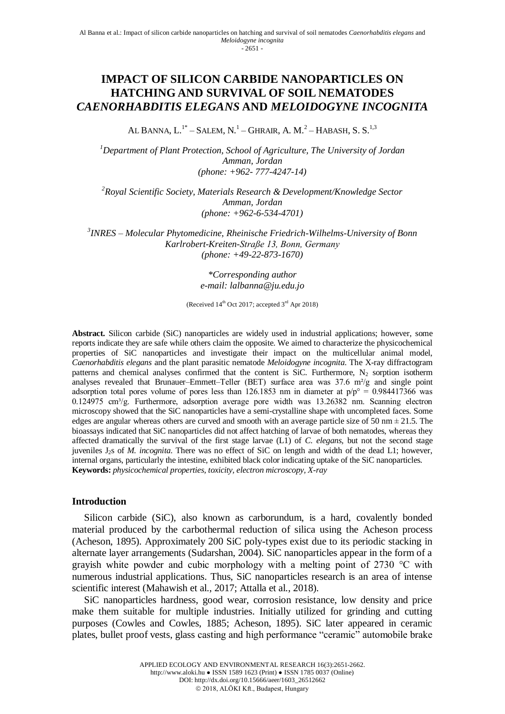# **IMPACT OF SILICON CARBIDE NANOPARTICLES ON HATCHING AND SURVIVAL OF SOIL NEMATODES**  *CAENORHABDITIS ELEGANS* **AND** *MELOIDOGYNE INCOGNITA*

AL BANNA, L. $^{1*}$  – Salem, N.<sup>1</sup> – Ghrair, A. M.<sup>2</sup> – Habash, S. S.<sup>1,3</sup>

*<sup>1</sup>Department of Plant Protection, School of Agriculture, The University of Jordan Amman, Jordan (phone: +962- 777-4247-14)*

*<sup>2</sup>Royal Scientific Society, Materials Research & Development/Knowledge Sector Amman, Jordan (phone: +962-6-534-4701)*

*3 INRES – Molecular Phytomedicine, Rheinische Friedrich-Wilhelms-University of Bonn Karlrobert-Kreiten-Straße 13, Bonn, Germany (phone: +49-22-873-1670)*

> *\*Corresponding author e-mail: lalbanna@ju.edu.jo*

(Received 14<sup>th</sup> Oct 2017; accepted 3<sup>rd</sup> Apr 2018)

**Abstract.** Silicon carbide (SiC) nanoparticles are widely used in industrial applications; however, some reports indicate they are safe while others claim the opposite. We aimed to characterize the physicochemical properties of SiC nanoparticles and investigate their impact on the multicellular animal model, *Caenorhabditis elegans* and the plant parasitic nematode *Meloidogyne incognita*. The X-ray diffractogram patterns and chemical analyses confirmed that the content is SiC. Furthermore,  $N_2$  sorption isotherm analyses revealed that Brunauer–Emmett–Teller (BET) surface area was 37.6 m²/g and single point adsorption total pores volume of pores less than 126.1853 nm in diameter at  $p/p^{\circ} = 0.984417366$  was 0.124975 cm<sup>3</sup>/g. Furthermore, adsorption average pore width was 13.26382 nm. Scanning electron microscopy showed that the SiC nanoparticles have a semi-crystalline shape with uncompleted faces. Some edges are angular whereas others are curved and smooth with an average particle size of 50 nm  $\pm$  21.5. The bioassays indicated that SiC nanoparticles did not affect hatching of larvae of both nematodes, whereas they affected dramatically the survival of the first stage larvae (L1) of *C. elegans,* but not the second stage juveniles J2s of *M. incognita*. There was no effect of SiC on length and width of the dead L1; however, internal organs, particularly the intestine, exhibited black color indicating uptake of the SiC nanoparticles. **Keywords:** *physicochemical properties, toxicity, electron microscopy, X-ray*

## **Introduction**

Silicon carbide (SiC), also known as carborundum, is a hard, covalently bonded material produced by the carbothermal reduction of silica using the Acheson process (Acheson, 1895). Approximately 200 SiC poly-types exist due to its periodic stacking in alternate layer arrangements (Sudarshan, 2004). SiC nanoparticles appear in the form of a grayish white powder and cubic morphology with a melting point of 2730 °C with numerous industrial applications. Thus, SiC nanoparticles research is an area of intense scientific interest (Mahawish et al., 2017; Attalla et al., 2018).

SiC nanoparticles hardness, good wear, corrosion resistance, low density and price make them suitable for multiple industries. Initially utilized for grinding and cutting purposes (Cowles and Cowles, 1885; Acheson, 1895). SiC later appeared in ceramic plates, bullet proof vests, glass casting and high performance "ceramic" automobile brake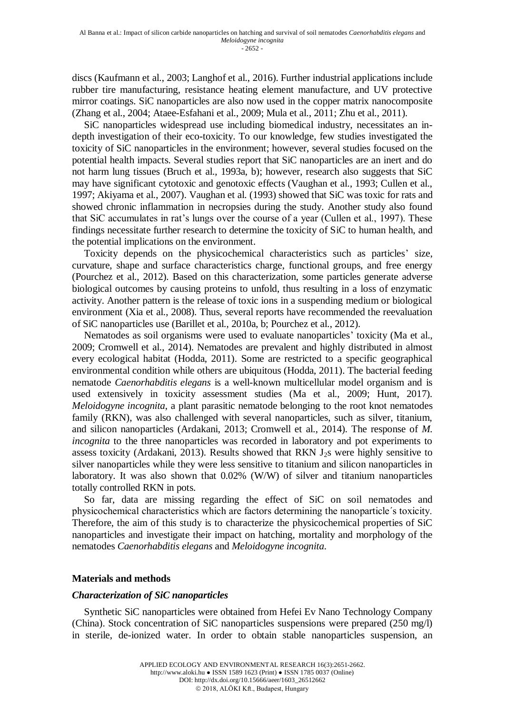discs (Kaufmann et al., 2003; Langhof et al., 2016). Further industrial applications include rubber tire manufacturing, resistance heating element manufacture, and UV protective mirror coatings. SiC nanoparticles are also now used in the copper matrix nanocomposite (Zhang et al., 2004; Ataee-Esfahani et al., 2009; Mula et al., 2011; Zhu et al., 2011).

SiC nanoparticles widespread use including biomedical industry, necessitates an indepth investigation of their eco-toxicity. To our knowledge, few studies investigated the toxicity of SiC nanoparticles in the environment; however, several studies focused on the potential health impacts. Several studies report that SiC nanoparticles are an inert and do not harm lung tissues (Bruch et al., 1993a, b); however, research also suggests that SiC may have significant cytotoxic and genotoxic effects (Vaughan et al., 1993; Cullen et al., 1997; Akiyama et al., 2007). Vaughan et al. (1993) showed that SiC was toxic for rats and showed chronic inflammation in necropsies during the study. Another study also found that SiC accumulates in rat's lungs over the course of a year (Cullen et al., 1997). These findings necessitate further research to determine the toxicity of SiC to human health, and the potential implications on the environment.

Toxicity depends on the physicochemical characteristics such as particles' size, curvature, shape and surface characteristics charge, functional groups, and free energy (Pourchez et al., 2012). Based on this characterization, some particles generate adverse biological outcomes by causing proteins to unfold, thus resulting in a loss of enzymatic activity. Another pattern is the release of toxic ions in a suspending medium or biological environment (Xia et al., 2008). Thus, several reports have recommended the reevaluation of SiC nanoparticles use (Barillet et al., 2010a, b; Pourchez et al., 2012).

Nematodes as soil organisms were used to evaluate nanoparticles' toxicity (Ma et al., 2009; Cromwell et al., 2014). Nematodes are prevalent and highly distributed in almost every ecological habitat (Hodda, 2011). Some are restricted to a specific geographical environmental condition while others are ubiquitous (Hodda, 2011). The bacterial feeding nematode *Caenorhabditis elegans* is a well-known multicellular model organism and is used extensively in toxicity assessment studies (Ma et al., 2009; Hunt, 2017). *Meloidogyne incognita*, a plant parasitic nematode belonging to the root knot nematodes family (RKN), was also challenged with several nanoparticles, such as silver, titanium, and silicon nanoparticles (Ardakani, 2013; Cromwell et al., 2014). The response of *M. incognita* to the three nanoparticles was recorded in laboratory and pot experiments to assess toxicity (Ardakani, 2013). Results showed that RKN  $J_2$ s were highly sensitive to silver nanoparticles while they were less sensitive to titanium and silicon nanoparticles in laboratory. It was also shown that 0.02% (W/W) of silver and titanium nanoparticles totally controlled RKN in pots.

So far, data are missing regarding the effect of SiC on soil nematodes and physicochemical characteristics which are factors determining the nanoparticle´s toxicity. Therefore, the aim of this study is to characterize the physicochemical properties of SiC nanoparticles and investigate their impact on hatching, mortality and morphology of the nematodes *Caenorhabditis elegans* and *Meloidogyne incognita*.

## **Materials and methods**

#### *Characterization of SiC nanoparticles*

Synthetic SiC nanoparticles were obtained from Hefei Ev Nano Technology Company (China). Stock concentration of SiC nanoparticles suspensions were prepared (250 mg/l) in sterile, de-ionized water. In order to obtain stable nanoparticles suspension, an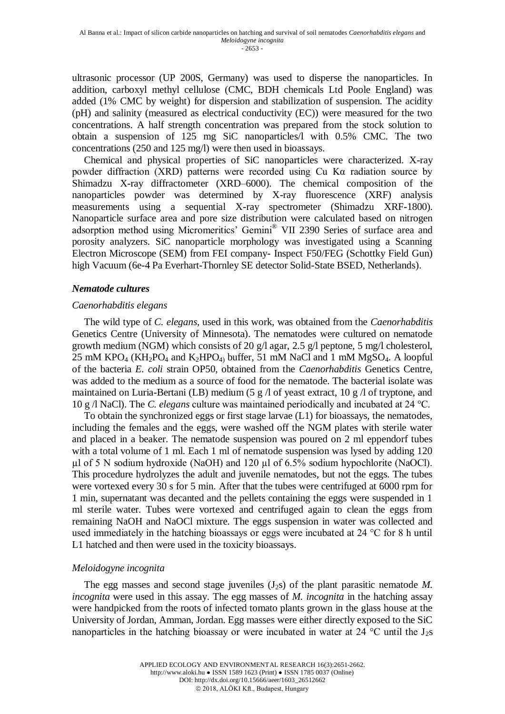ultrasonic processor (UP 200S, Germany) was used to disperse the nanoparticles. In addition, carboxyl methyl cellulose (CMC, BDH chemicals Ltd Poole England) was added (1% CMC by weight) for dispersion and stabilization of suspension. The acidity (pH) and salinity (measured as electrical conductivity (EC)) were measured for the two concentrations. A half strength concentration was prepared from the stock solution to obtain a suspension of 125 mg SiC nanoparticles/l with 0.5% CMC. The two concentrations (250 and 125 mg/l) were then used in bioassays.

Chemical and physical properties of SiC nanoparticles were characterized. X-ray powder diffraction (XRD) patterns were recorded using Cu Kα radiation source by Shimadzu X-ray diffractometer (XRD–6000). The chemical composition of the nanoparticles powder was determined by X-ray fluorescence (XRF) analysis measurements using a sequential X-ray spectrometer (Shimadzu XRF-1800). Nanoparticle surface area and pore size distribution were calculated based on nitrogen adsorption method using Micromeritics' Gemini® VII 2390 Series of surface area and porosity analyzers. SiC nanoparticle morphology was investigated using a Scanning Electron Microscope (SEM) from FEI company- Inspect F50/FEG (Schottky Field Gun) high Vacuum (6e-4 Pa Everhart-Thornley SE detector Solid-State BSED, Netherlands).

#### *Nematode cultures*

#### *Caenorhabditis elegans*

The wild type of *C. elegans*, used in this work, was obtained from the *Caenorhabditis* Genetics Centre (University of Minnesota). The nematodes were cultured on nematode growth medium (NGM) which consists of 20 g/l agar, 2.5 g/l peptone, 5 mg/l cholesterol, 25 mM KPO<sub>4</sub> (KH<sub>2</sub>PO<sub>4</sub> and K<sub>2</sub>HPO<sub>4</sub>) buffer, 51 mM NaCl and 1 mM MgSO<sub>4</sub>. A loopful of the bacteria *E. coli* strain OP50, obtained from the *Caenorhabditis* Genetics Centre, was added to the medium as a source of food for the nematode. The bacterial isolate was maintained on Luria-Bertani (LB) medium (5 g /l of yeast extract, 10 g /l of tryptone, and 10 g /l NaCl). The *C. elegans* culture was maintained periodically and incubated at 24 °C.

To obtain the synchronized eggs or first stage larvae (L1) for bioassays, the nematodes, including the females and the eggs, were washed off the NGM plates with sterile water and placed in a beaker. The nematode suspension was poured on 2 ml eppendorf tubes with a total volume of 1 ml. Each 1 ml of nematode suspension was lysed by adding 120  $\mu$ l of 5 N sodium hydroxide (NaOH) and 120  $\mu$ l of 6.5% sodium hypochlorite (NaOCl). This procedure hydrolyzes the adult and juvenile nematodes, but not the eggs. The tubes were vortexed every 30 s for 5 min. After that the tubes were centrifuged at 6000 rpm for 1 min, supernatant was decanted and the pellets containing the eggs were suspended in 1 ml sterile water. Tubes were vortexed and centrifuged again to clean the eggs from remaining NaOH and NaOCl mixture. The eggs suspension in water was collected and used immediately in the hatching bioassays or eggs were incubated at 24 °C for 8 h until L1 hatched and then were used in the toxicity bioassays.

## *Meloidogyne incognita*

The egg masses and second stage juveniles  $(J_2s)$  of the plant parasitic nematode M. *incognita* were used in this assay. The egg masses of *M. incognita* in the hatching assay were handpicked from the roots of infected tomato plants grown in the glass house at the University of Jordan, Amman, Jordan. Egg masses were either directly exposed to the SiC nanoparticles in the hatching bioassay or were incubated in water at 24  $\degree$ C until the J<sub>2</sub>s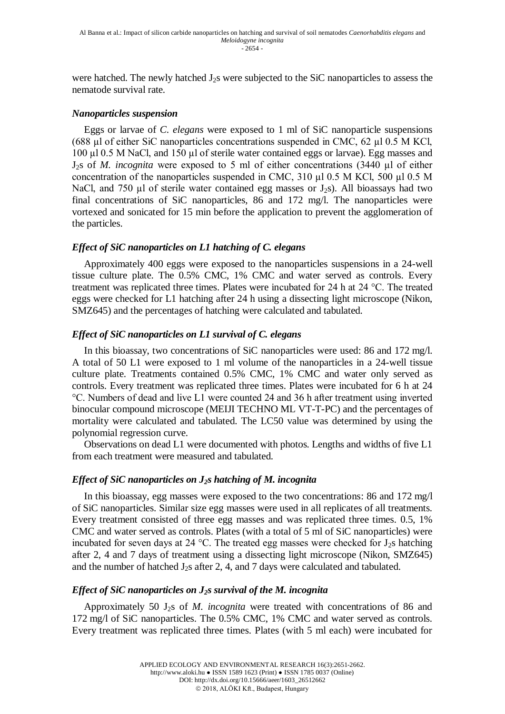were hatched. The newly hatched J<sub>2</sub>s were subjected to the SiC nanoparticles to assess the nematode survival rate.

#### *Nanoparticles suspension*

Eggs or larvae of *C*. *elegans* were exposed to 1 ml of SiC nanoparticle suspensions (688 µl of either SiC nanoparticles concentrations suspended in CMC, 62 µl 0.5 M KCl, 100 µl 0.5 M NaCl, and 150 µl of sterile water contained eggs or larvae). Egg masses and J2s of *M. incognita* were exposed to 5 ml of either concentrations (3440 µl of either concentration of the nanoparticles suspended in CMC, 310  $\mu$ 1 0.5 M KCl, 500  $\mu$ 1 0.5 M NaCl, and 750  $\mu$ l of sterile water contained egg masses or J<sub>2</sub>s). All bioassays had two final concentrations of SiC nanoparticles, 86 and 172 mg/l. The nanoparticles were vortexed and sonicated for 15 min before the application to prevent the agglomeration of the particles.

## *Effect of SiC nanoparticles on L1 hatching of C. elegans*

Approximately 400 eggs were exposed to the nanoparticles suspensions in a 24-well tissue culture plate. The 0.5% CMC, 1% CMC and water served as controls. Every treatment was replicated three times. Plates were incubated for 24 h at 24 °C. The treated eggs were checked for L1 hatching after 24 h using a dissecting light microscope (Nikon, SMZ645) and the percentages of hatching were calculated and tabulated.

## *Effect of SiC nanoparticles on L1 survival of C. elegans*

In this bioassay, two concentrations of SiC nanoparticles were used: 86 and 172 mg/l. A total of 50 L1 were exposed to 1 ml volume of the nanoparticles in a 24-well tissue culture plate. Treatments contained 0.5% CMC, 1% CMC and water only served as controls. Every treatment was replicated three times. Plates were incubated for 6 h at 24 °C. Numbers of dead and live L1 were counted 24 and 36 h after treatment using inverted binocular compound microscope (MEIJI TECHNO ML VT-T-PC) and the percentages of mortality were calculated and tabulated. The LC50 value was determined by using the polynomial regression curve.

Observations on dead L1 were documented with photos. Lengths and widths of five L1 from each treatment were measured and tabulated.

## *Effect of SiC nanoparticles on J2s hatching of M. incognita*

In this bioassay, egg masses were exposed to the two concentrations: 86 and 172 mg/l of SiC nanoparticles. Similar size egg masses were used in all replicates of all treatments. Every treatment consisted of three egg masses and was replicated three times. 0.5, 1% CMC and water served as controls. Plates (with a total of 5 ml of SiC nanoparticles) were incubated for seven days at 24 °C. The treated egg masses were checked for  $J_2$ s hatching after 2, 4 and 7 days of treatment using a dissecting light microscope (Nikon, SMZ645) and the number of hatched  $J_2s$  after 2, 4, and 7 days were calculated and tabulated.

## *Effect of SiC nanoparticles on J2s survival of the M. incognita*

Approximately 50 J2s of *M. incognita* were treated with concentrations of 86 and 172 mg/l of SiC nanoparticles. The 0.5% CMC, 1% CMC and water served as controls. Every treatment was replicated three times. Plates (with 5 ml each) were incubated for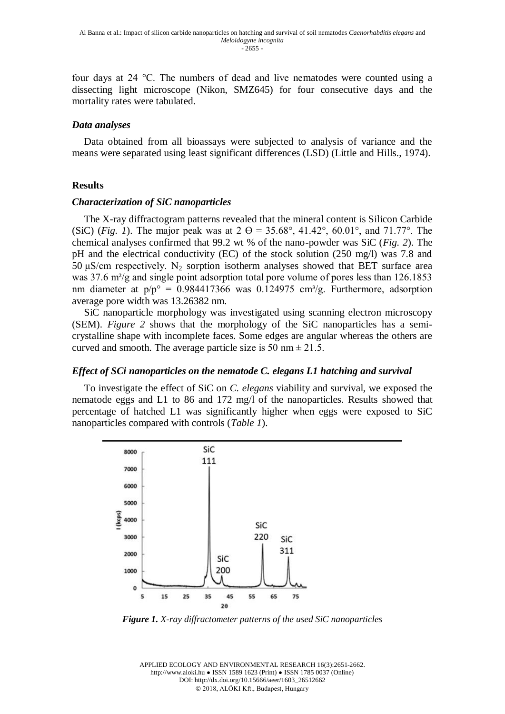four days at 24 °C. The numbers of dead and live nematodes were counted using a dissecting light microscope (Nikon, SMZ645) for four consecutive days and the mortality rates were tabulated.

#### *Data analyses*

Data obtained from all bioassays were subjected to analysis of variance and the means were separated using least significant differences (LSD) (Little and Hills., 1974).

#### **Results**

#### *Characterization of SiC nanoparticles*

The X-ray diffractogram patterns revealed that the mineral content is Silicon Carbide (SiC) (*Fig. 1*). The major peak was at  $2 \Theta = 35.68^{\circ}, 41.42^{\circ}, 60.01^{\circ},$  and  $71.77^{\circ}$ . The chemical analyses confirmed that 99.2 wt % of the nano-powder was SiC (*Fig. 2*). The pH and the electrical conductivity (EC) of the stock solution (250 mg/l) was 7.8 and 50 μS/cm respectively. N<sub>2</sub> sorption isotherm analyses showed that BET surface area was 37.6 m<sup>2</sup>/g and single point adsorption total pore volume of pores less than 126.1853 nm diameter at  $p/p^{\circ} = 0.984417366$  was 0.124975 cm<sup>3</sup>/g. Furthermore, adsorption average pore width was 13.26382 nm.

SiC nanoparticle morphology was investigated using scanning electron microscopy (SEM). *Figure 2* shows that the morphology of the SiC nanoparticles has a semicrystalline shape with incomplete faces. Some edges are angular whereas the others are curved and smooth. The average particle size is 50 nm  $\pm$  21.5.

#### *Effect of SCi nanoparticles on the nematode C. elegans L1 hatching and survival*

To investigate the effect of SiC on *C. elegans* viability and survival, we exposed the nematode eggs and L1 to 86 and 172 mg/l of the nanoparticles. Results showed that percentage of hatched L1 was significantly higher when eggs were exposed to SiC nanoparticles compared with controls (*Table 1*).



*Figure 1. X-ray diffractometer patterns of the used SiC nanoparticles*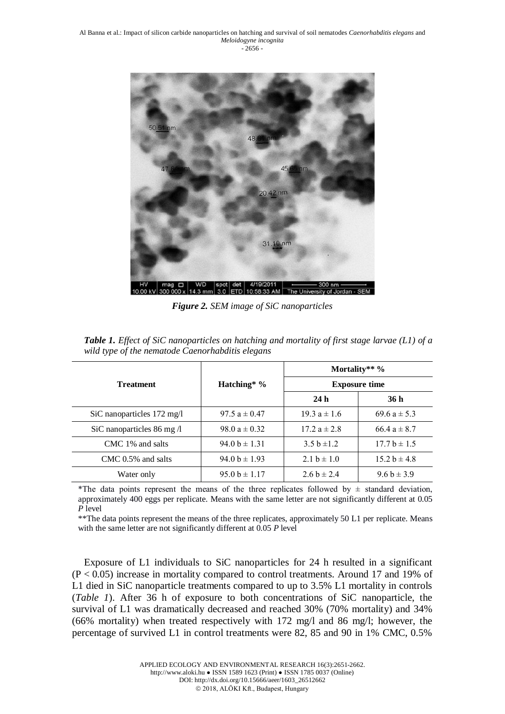

*Figure 2. SEM image of SiC nanoparticles*

|                                   |                   | Mortality** $\%$     |                  |  |
|-----------------------------------|-------------------|----------------------|------------------|--|
| <b>Treatment</b>                  | Hatching* $\%$    | <b>Exposure time</b> |                  |  |
|                                   |                   | 24h                  | 36 h             |  |
| SiC nanoparticles 172 mg/l        | 97.5 $a \pm 0.47$ | $19.3 a \pm 1.6$     | 69.6 $a \pm 5.3$ |  |
| SiC nanoparticles 86 mg $\Lambda$ | 98.0 $a \pm 0.32$ | $17.2 a \pm 2.8$     | 66.4 $a \pm 8.7$ |  |
| CMC 1% and salts                  | $94.0 b \pm 1.31$ | 3.5 b $\pm$ 1.2      | $17.7 b \pm 1.5$ |  |
| $CMC$ 0.5% and salts              | $94.0 b \pm 1.93$ | 2.1 b $\pm$ 1.0      | $15.2 b \pm 4.8$ |  |
| Water only                        | $95.0 b \pm 1.17$ | 2.6 b $\pm$ 2.4      | $9.6 b \pm 3.9$  |  |

*Table 1. Effect of SiC nanoparticles on hatching and mortality of first stage larvae (L1) of a wild type of the nematode Caenorhabditis elegans*

\*The data points represent the means of the three replicates followed by  $\pm$  standard deviation, approximately 400 eggs per replicate. Means with the same letter are not significantly different at 0.05 *P* level

\*\*The data points represent the means of the three replicates, approximately 50 L1 per replicate. Means with the same letter are not significantly different at 0.05 *P* level

Exposure of L1 individuals to SiC nanoparticles for 24 h resulted in a significant (P < 0.05) increase in mortality compared to control treatments. Around 17 and 19% of L1 died in SiC nanoparticle treatments compared to up to 3.5% L1 mortality in controls (*Table 1*). After 36 h of exposure to both concentrations of SiC nanoparticle, the survival of L1 was dramatically decreased and reached 30% (70% mortality) and 34% (66% mortality) when treated respectively with 172 mg/l and 86 mg/l; however, the percentage of survived L1 in control treatments were 82, 85 and 90 in 1% CMC, 0.5%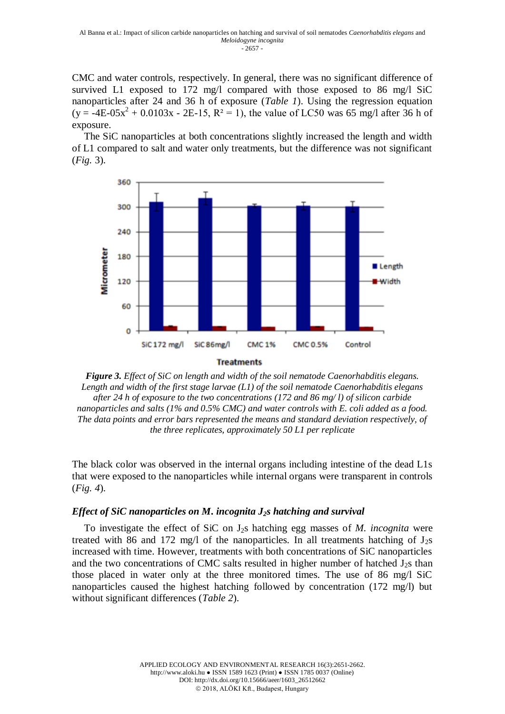CMC and water controls, respectively. In general, there was no significant difference of survived L1 exposed to 172 mg/l compared with those exposed to 86 mg/l SiC nanoparticles after 24 and 36 h of exposure (*Table 1*). Using the regression equation  $(y = -4E-05x^2 + 0.0103x - 2E-15, R^2 = 1)$ , the value of LC50 was 65 mg/l after 36 h of exposure.

The SiC nanoparticles at both concentrations slightly increased the length and width of L1 compared to salt and water only treatments, but the difference was not significant (*Fig.* 3).





The black color was observed in the internal organs including intestine of the dead L1s that were exposed to the nanoparticles while internal organs were transparent in controls (*Fig. 4*).

## *Effect of SiC nanoparticles on M***.** *incognita J2s hatching and survival*

To investigate the effect of SiC on J2s hatching egg masses of *M. incognita* were treated with 86 and 172 mg/l of the nanoparticles. In all treatments hatching of  $J_2s$ increased with time. However, treatments with both concentrations of SiC nanoparticles and the two concentrations of CMC salts resulted in higher number of hatched  $J_2$ s than those placed in water only at the three monitored times. The use of 86 mg/l SiC nanoparticles caused the highest hatching followed by concentration (172 mg/l) but without significant differences (*Table 2*).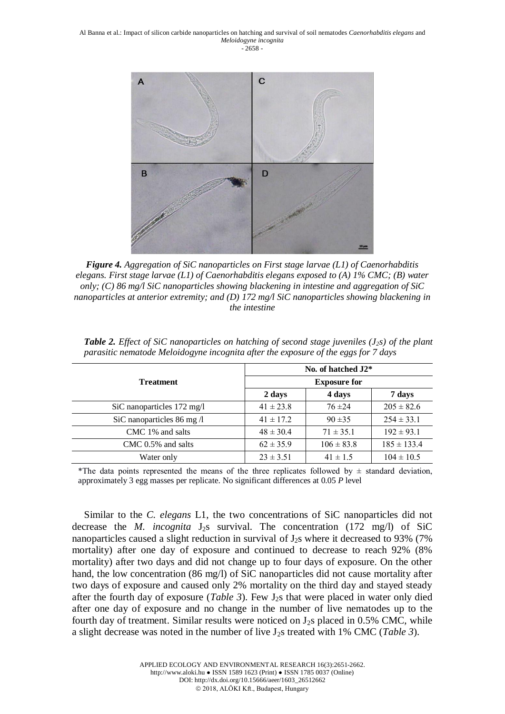

*Figure 4. Aggregation of SiC nanoparticles on First stage larvae (L1) of Caenorhabditis elegans. First stage larvae (L1) of Caenorhabditis elegans exposed to (A) 1% CMC; (B) water only; (C) 86 mg/l SiC nanoparticles showing blackening in intestine and aggregation of SiC nanoparticles at anterior extremity; and (D) 172 mg/l SiC nanoparticles showing blackening in the intestine*

|                                     | No. of hatched $J2^*$ |                |                 |  |
|-------------------------------------|-----------------------|----------------|-----------------|--|
| <b>Treatment</b>                    | <b>Exposure for</b>   |                |                 |  |
|                                     | 2 days                | 4 days         | 7 days          |  |
| SiC nanoparticles 172 mg/l          | $41 \pm 23.8$         | $76 + 24$      | $205 \pm 82.6$  |  |
| SiC nanoparticles $86 \text{ mg}$ / | $41 \pm 17.2$         | $90 + 35$      | $254 \pm 33.1$  |  |
| CMC 1% and salts                    | $48 \pm 30.4$         | $71 \pm 35.1$  | $192 \pm 93.1$  |  |
| $CMC$ 0.5% and salts                | $62 \pm 35.9$         | $106 \pm 83.8$ | $185 \pm 133.4$ |  |
| Water only                          | $23 \pm 3.51$         | $41 \pm 1.5$   | $104 \pm 10.5$  |  |

*Table 2. Effect of SiC nanoparticles on hatching of second stage juveniles (J2s) of the plant parasitic nematode Meloidogyne incognita after the exposure of the eggs for 7 days*

\*The data points represented the means of the three replicates followed by  $\pm$  standard deviation, approximately 3 egg masses per replicate. No significant differences at 0.05 *P* level

Similar to the *C. elegans* L1, the two concentrations of SiC nanoparticles did not decrease the *M. incognita* J<sub>2</sub>s survival. The concentration  $(172 \text{ mg/l})$  of SiC nanoparticles caused a slight reduction in survival of  $J_2$ s where it decreased to 93% (7%) mortality) after one day of exposure and continued to decrease to reach 92% (8% mortality) after two days and did not change up to four days of exposure. On the other hand, the low concentration (86 mg/l) of SiC nanoparticles did not cause mortality after two days of exposure and caused only 2% mortality on the third day and stayed steady after the fourth day of exposure (*Table 3*). Few J2s that were placed in water only died after one day of exposure and no change in the number of live nematodes up to the fourth day of treatment. Similar results were noticed on  $J_2s$  placed in 0.5% CMC, while a slight decrease was noted in the number of live J2s treated with 1% CMC (*Table 3*).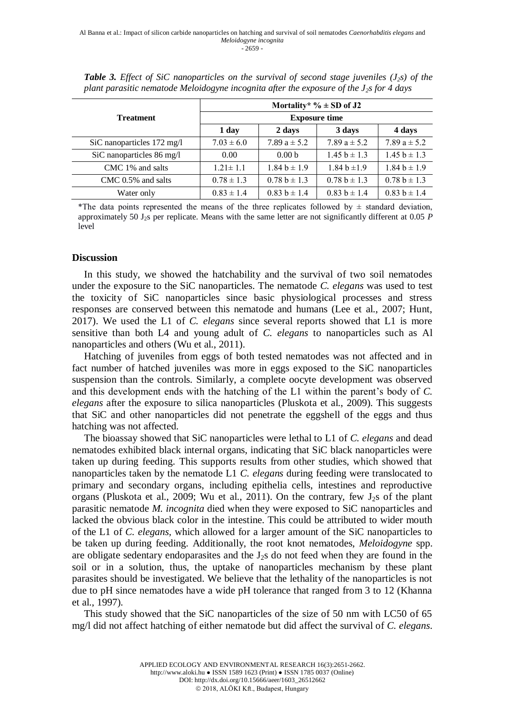|                            | Mortality* $\% \pm SD$ of J2<br><b>Exposure time</b><br><b>Treatment</b> |                   |                  |                  |
|----------------------------|--------------------------------------------------------------------------|-------------------|------------------|------------------|
|                            |                                                                          |                   |                  |                  |
|                            | 1 day                                                                    | 2 days            | 3 days           | 4 days           |
| SiC nanoparticles 172 mg/l | $7.03 \pm 6.0$                                                           | 7.89 $a \pm 5.2$  | 7.89 $a \pm 5.2$ | 7.89 $a \pm 5.2$ |
| SiC nanoparticles 86 mg/l  | 0.00                                                                     | 0.00 <sub>b</sub> | $1.45 b \pm 1.3$ | $1.45 b \pm 1.3$ |
| CMC 1% and salts           | $1.21 \pm 1.1$                                                           | $1.84 b \pm 1.9$  | $1.84 b \pm 1.9$ | $1.84 b \pm 1.9$ |
| $CMC$ 0.5% and salts       | $0.78 \pm 1.3$                                                           | $0.78 b \pm 1.3$  | $0.78 b \pm 1.3$ | $0.78 b \pm 1.3$ |
| Water only                 | $0.83 \pm 1.4$                                                           | $0.83 b \pm 1.4$  | $0.83 b \pm 1.4$ | $0.83 b \pm 1.4$ |

*Table 3. Effect of SiC nanoparticles on the survival of second stage juveniles (J2s) of the plant parasitic nematode Meloidogyne incognita after the exposure of the J2s for 4 days*

\*The data points represented the means of the three replicates followed by  $\pm$  standard deviation, approximately 50 J2s per replicate. Means with the same letter are not significantly different at 0.05 *P* level

#### **Discussion**

In this study, we showed the hatchability and the survival of two soil nematodes under the exposure to the SiC nanoparticles. The nematode *C. elegans* was used to test the toxicity of SiC nanoparticles since basic physiological processes and stress responses are conserved between this nematode and humans (Lee et al., 2007; Hunt, 2017). We used the L1 of *C. elegans* since several reports showed that L1 is more sensitive than both L4 and young adult of *C. elegans* to nanoparticles such as Al nanoparticles and others (Wu et al., 2011).

Hatching of juveniles from eggs of both tested nematodes was not affected and in fact number of hatched juveniles was more in eggs exposed to the SiC nanoparticles suspension than the controls. Similarly, a complete oocyte development was observed and this development ends with the hatching of the L1 within the parent's body of *C. elegans* after the exposure to silica nanoparticles (Pluskota et al., 2009). This suggests that SiC and other nanoparticles did not penetrate the eggshell of the eggs and thus hatching was not affected.

The bioassay showed that SiC nanoparticles were lethal to L1 of *C. elegans* and dead nematodes exhibited black internal organs, indicating that SiC black nanoparticles were taken up during feeding. This supports results from other studies, which showed that nanoparticles taken by the nematode L1 *C. elegans* during feeding were translocated to primary and secondary organs, including epithelia cells, intestines and reproductive organs (Pluskota et al., 2009; Wu et al., 2011). On the contrary, few  $J_2$ s of the plant parasitic nematode *M. incognita* died when they were exposed to SiC nanoparticles and lacked the obvious black color in the intestine. This could be attributed to wider mouth of the L1 of *C. elegans,* which allowed for a larger amount of the SiC nanoparticles to be taken up during feeding. Additionally, the root knot nematodes, *Meloidogyne* spp. are obligate sedentary endoparasites and the  $J_2$ s do not feed when they are found in the soil or in a solution, thus, the uptake of nanoparticles mechanism by these plant parasites should be investigated. We believe that the lethality of the nanoparticles is not due to pH since nematodes have a wide pH tolerance that ranged from 3 to 12 (Khanna et al., 1997).

This study showed that the SiC nanoparticles of the size of 50 nm with LC50 of 65 mg/l did not affect hatching of either nematode but did affect the survival of *C. elegans*.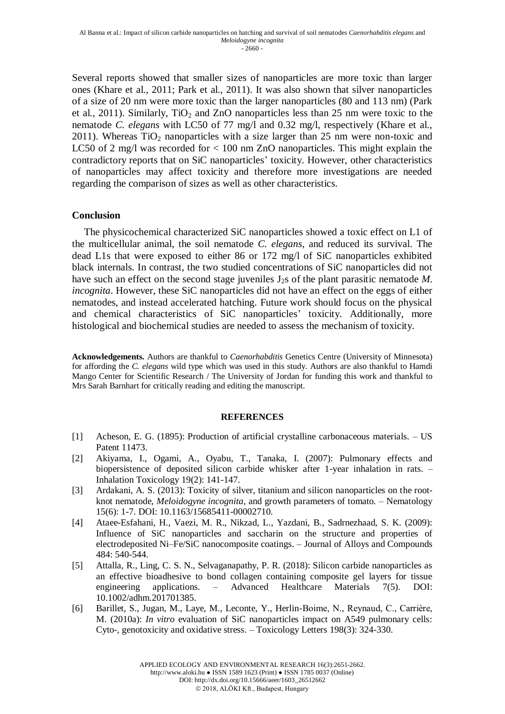Several reports showed that smaller sizes of nanoparticles are more toxic than larger ones (Khare et al., 2011; Park et al., 2011). It was also shown that silver nanoparticles of a size of 20 nm were more toxic than the larger nanoparticles (80 and 113 nm) (Park et al., 2011). Similarly,  $TiO<sub>2</sub>$  and ZnO nanoparticles less than 25 nm were toxic to the nematode *C. elegans* with LC50 of 77 mg/l and 0.32 mg/l, respectively (Khare et al., 2011). Whereas  $TiO<sub>2</sub>$  nanoparticles with a size larger than 25 nm were non-toxic and LC50 of 2 mg/l was recorded for < 100 nm ZnO nanoparticles. This might explain the contradictory reports that on SiC nanoparticles' toxicity. However, other characteristics of nanoparticles may affect toxicity and therefore more investigations are needed regarding the comparison of sizes as well as other characteristics.

## **Conclusion**

The physicochemical characterized SiC nanoparticles showed a toxic effect on L1 of the multicellular animal, the soil nematode *C. elegans,* and reduced its survival. The dead L1s that were exposed to either 86 or 172 mg/l of SiC nanoparticles exhibited black internals. In contrast, the two studied concentrations of SiC nanoparticles did not have such an effect on the second stage juveniles  $J_2s$  of the plant parasitic nematode M. *incognita*. However, these SiC nanoparticles did not have an effect on the eggs of either nematodes, and instead accelerated hatching. Future work should focus on the physical and chemical characteristics of SiC nanoparticles' toxicity. Additionally, more histological and biochemical studies are needed to assess the mechanism of toxicity.

**Acknowledgements.** Authors are thankful to *Caenorhabditis* Genetics Centre (University of Minnesota) for affording the *C. elegans* wild type which was used in this study. Authors are also thankful to Hamdi Mango Center for Scientific Research / The University of Jordan for funding this work and thankful to Mrs Sarah Barnhart for critically reading and editing the manuscript.

#### **REFERENCES**

- [1] Acheson, E. G. (1895): Production of artificial crystalline carbonaceous materials. US Patent 11473.
- [2] Akiyama, I., Ogami, A., Oyabu, T., Tanaka, I. (2007): Pulmonary effects and biopersistence of deposited silicon carbide whisker after 1-year inhalation in rats. – Inhalation Toxicology 19(2): 141-147.
- [3] Ardakani, A. S. (2013): Toxicity of silver, titanium and silicon nanoparticles on the rootknot nematode, *Meloidogyne incognita*, and growth parameters of tomato. – Nematology 15(6): 1-7. DOI: 10.1163/15685411-00002710.
- [4] Ataee-Esfahani, H., Vaezi, M. R., Nikzad, L., Yazdani, B., Sadrnezhaad, S. K. (2009): Influence of SiC nanoparticles and saccharin on the structure and properties of electrodeposited Ni–Fe/SiC nanocomposite coatings. – Journal of Alloys and Compounds 484: 540-544.
- [5] Attalla, R., Ling, C. S. N., Selvaganapathy, P. R. (2018): Silicon carbide nanoparticles as an effective bioadhesive to bond collagen containing composite gel layers for tissue engineering applications. – Advanced Healthcare Materials 7(5). DOI: 10.1002/adhm.201701385.
- [6] Barillet, S., Jugan, M., Laye, M., Leconte, Y., Herlin-Boime, N., Reynaud, C., Carrière, M. (2010a): *In vitro* evaluation of SiC nanoparticles impact on A549 pulmonary cells: Cyto-, genotoxicity and oxidative stress. – Toxicology Letters 198(3): 324-330.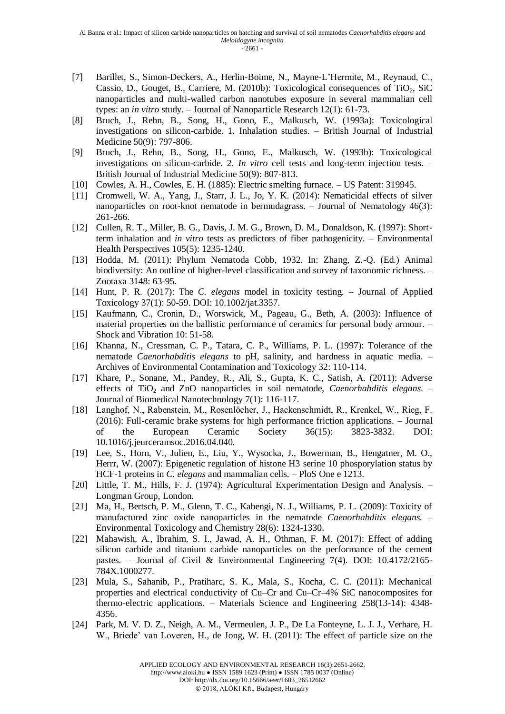- [7] Barillet, S., Simon-Deckers, A., Herlin-Boime, N., Mayne-L'Hermite, M., Reynaud, C., Cassio, D., Gouget, B., Carriere, M. (2010b): Toxicological consequences of TiO<sub>2</sub>, SiC nanoparticles and multi-walled carbon nanotubes exposure in several mammalian cell types: an *in vitro* study. – Journal of Nanoparticle Research 12(1): 61-73.
- [8] Bruch, J., Rehn, B., Song, H., Gono, E., Malkusch, W. (1993a): Toxicological investigations on silicon-carbide. 1. Inhalation studies. – British Journal of Industrial Medicine 50(9): 797-806.
- [9] Bruch, J., Rehn, B., Song, H., Gono, E., Malkusch, W. (1993b): Toxicological investigations on silicon-carbide. 2. *In vitro* cell tests and long-term injection tests. – British Journal of Industrial Medicine 50(9): 807-813.
- [10] Cowles, A. H., Cowles, E. H. (1885): Electric smelting furnace. US Patent: 319945.
- [11] Cromwell, W. A., Yang, J., Starr, J. L., Jo, Y. K. (2014): Nematicidal effects of silver nanoparticles on root-knot nematode in bermudagrass. – Journal of Nematology 46(3): 261-266.
- [12] Cullen, R. T., Miller, B. G., Davis, J. M. G., Brown, D. M., Donaldson, K. (1997): Shortterm inhalation and *in vitro* tests as predictors of fiber pathogenicity. – Environmental Health Perspectives 105(5): 1235-1240.
- [13] Hodda, M. (2011): Phylum Nematoda Cobb, 1932. In: Zhang, Z.-Q. (Ed.) Animal biodiversity: An outline of higher-level classification and survey of taxonomic richness. – Zootaxa 3148: 63-95.
- [14] Hunt, P. R. (2017): The *C. elegans* model in toxicity testing. Journal of Applied Toxicology 37(1): 50-59. DOI: 10.1002/jat.3357.
- [15] Kaufmann, C., Cronin, D., Worswick, M., Pageau, G., Beth, A. (2003): Influence of material properties on the ballistic performance of ceramics for personal body armour. – Shock and Vibration 10: 51-58.
- [16] Khanna, N., Cressman, C. P., Tatara, C. P., Williams, P. L. (1997): Tolerance of the nematode *Caenorhabditis elegans* to pH, salinity, and hardness in aquatic media. – Archives of Environmental Contamination and Toxicology 32: 110-114.
- [17] Khare, P., Sonane, M., Pandey, R., Ali, S., Gupta, K. C., Satish, A. (2011): Adverse effects of TiO<sub>2</sub> and ZnO nanoparticles in soil nematode, *Caenorhabditis elegans*. Journal of Biomedical Nanotechnology 7(1): 116-117.
- [18] Langhof, N., Rabenstein, M., Rosenlöcher, J., Hackenschmidt, R., Krenkel, W., Rieg, F. (2016): Full-ceramic brake systems for high performance friction applications. – Journal of the European Ceramic Society 36(15): 3823-3832. DOI: 10.1016/j.jeurceramsoc.2016.04.040.
- [19] Lee, S., Horn, V., Julien, E., Liu, Y., Wysocka, J., Bowerman, B., Hengatner, M. O., Herrr, W. (2007): Epigenetic regulation of histone H3 serine 10 phosporylation status by HCF-1 proteins in *C. elegans* and mammalian cells. – PloS One e 1213.
- [20] Little, T. M., Hills, F. J. (1974): Agricultural Experimentation Design and Analysis. Longman Group, London.
- [21] Ma, H., Bertsch, P. M., Glenn, T. C., Kabengi, N. J., Williams, P. L. (2009): Toxicity of manufactured zinc oxide nanoparticles in the nematode *Caenorhabditis elegans.* – Environmental Toxicology and Chemistry 28(6): 1324-1330.
- [22] Mahawish, A., Ibrahim, S. I., Jawad, A. H., Othman, F. M. (2017): Effect of adding silicon carbide and titanium carbide nanoparticles on the performance of the cement pastes. – Journal of Civil & Environmental Engineering 7(4). DOI:  $10.4172/2165$ -784X.1000277.
- [23] Mula, S., Sahanib, P., Pratiharc, S. K., Mala, S., Kocha, C. C. (2011): Mechanical properties and electrical conductivity of Cu–Cr and Cu–Cr–4% SiC nanocomposites for thermo-electric applications. – Materials Science and Engineering 258(13-14): 4348- 4356.
- [24] Park, M. V. D. Z., Neigh, A. M., Vermeulen, J. P., De La Fonteyne, L. J. J., Verhare, H. W., Briede' van Loveren, H., de Jong, W. H. (2011): The effect of particle size on the